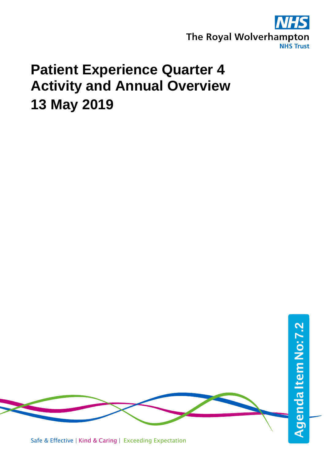

# **Patient Experience Quarter 4 Activity and Annual Overview 13 May 2019**

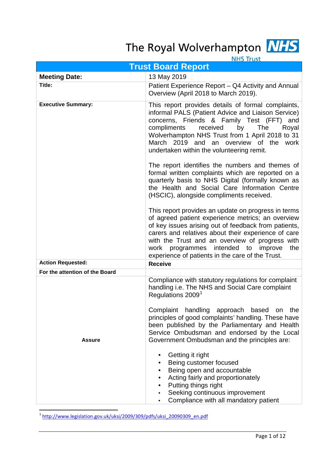# The Royal Wolverhampton

|--|

| <b>NHS Irust</b>               |                                                                                                                                                                                                                                                                                                                                                                                                            |  |  |
|--------------------------------|------------------------------------------------------------------------------------------------------------------------------------------------------------------------------------------------------------------------------------------------------------------------------------------------------------------------------------------------------------------------------------------------------------|--|--|
| <b>Trust Board Report</b>      |                                                                                                                                                                                                                                                                                                                                                                                                            |  |  |
| <b>Meeting Date:</b>           | 13 May 2019                                                                                                                                                                                                                                                                                                                                                                                                |  |  |
| Title:                         | Patient Experience Report - Q4 Activity and Annual<br>Overview (April 2018 to March 2019).                                                                                                                                                                                                                                                                                                                 |  |  |
| <b>Executive Summary:</b>      | This report provides details of formal complaints,<br>informal PALS (Patient Advice and Liaison Service)<br>concerns, Friends & Family Test (FFT) and<br>compliments<br>received<br>by<br><b>The</b><br>Royal<br>Wolverhampton NHS Trust from 1 April 2018 to 31<br>March 2019 and an overview of the work<br>undertaken within the volunteering remit.<br>The report identifies the numbers and themes of |  |  |
|                                | formal written complaints which are reported on a<br>quarterly basis to NHS Digital (formally known as<br>the Health and Social Care Information Centre<br>(HSCIC), alongside compliments received.                                                                                                                                                                                                        |  |  |
|                                | This report provides an update on progress in terms<br>of agreed patient experience metrics; an overview<br>of key issues arising out of feedback from patients,<br>carers and relatives about their experience of care<br>with the Trust and an overview of progress with<br>programmes<br>intended<br>work<br>to<br>improve<br>the<br>experience of patients in the care of the Trust.                   |  |  |
| <b>Action Requested:</b>       | <b>Receive</b>                                                                                                                                                                                                                                                                                                                                                                                             |  |  |
| For the attention of the Board |                                                                                                                                                                                                                                                                                                                                                                                                            |  |  |
|                                | Compliance with statutory regulations for complaint<br>handling i.e. The NHS and Social Care complaint<br>Regulations 2009 <sup>1</sup><br>Complaint<br>handling approach based<br>the<br>on<br>principles of good complaints' handling. These have<br>been published by the Parliamentary and Health<br>Service Ombudsman and endorsed by the Local                                                       |  |  |
| <b>Assure</b>                  | Government Ombudsman and the principles are:<br>Getting it right<br>Being customer focused<br>Being open and accountable<br>Acting fairly and proportionately<br>Putting things right<br>Seeking continuous improvement<br>٠<br>Compliance with all mandatory patient<br>٠                                                                                                                                 |  |  |

<span id="page-1-0"></span>1 [http://www.legislation.gov.uk/uksi/2009/309/pdfs/uksi\\_20090309\\_en.pdf](http://www.legislation.gov.uk/uksi/2009/309/pdfs/uksi_20090309_en.pdf)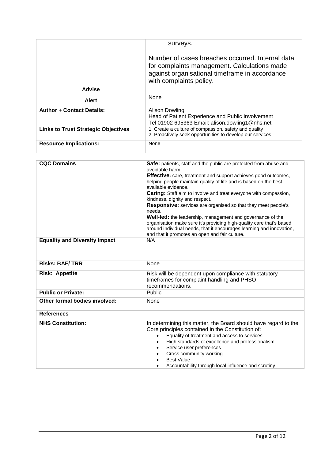|                                            | surveys.                                                                                                                                                                      |
|--------------------------------------------|-------------------------------------------------------------------------------------------------------------------------------------------------------------------------------|
|                                            | Number of cases breaches occurred. Internal data<br>for complaints management. Calculations made<br>against organisational timeframe in accordance<br>with complaints policy. |
| Advise                                     |                                                                                                                                                                               |
| <b>Alert</b>                               | <b>None</b>                                                                                                                                                                   |
| <b>Author + Contact Details:</b>           | Alison Dowling<br>Head of Patient Experience and Public Involvement<br>Tel 01902 695363 Email: alison.dowling1@nhs.net                                                        |
| <b>Links to Trust Strategic Objectives</b> | 1. Create a culture of compassion, safety and quality<br>2. Proactively seek opportunities to develop our services                                                            |
| <b>Resource Implications:</b>              | None                                                                                                                                                                          |

| <b>CQC Domains</b>                   | Safe: patients, staff and the public are protected from abuse and<br>avoidable harm.<br>Effective: care, treatment and support achieves good outcomes,<br>helping people maintain quality of life and is based on the best<br>available evidence.<br>Caring: Staff aim to involve and treat everyone with compassion,<br>kindness, dignity and respect.<br>Responsive: services are organised so that they meet people's<br>needs.<br>Well-led: the leadership, management and governance of the<br>organisation make sure it's providing high-quality care that's based<br>around individual needs, that it encourages learning and innovation,<br>and that it promotes an open and fair culture. |  |
|--------------------------------------|----------------------------------------------------------------------------------------------------------------------------------------------------------------------------------------------------------------------------------------------------------------------------------------------------------------------------------------------------------------------------------------------------------------------------------------------------------------------------------------------------------------------------------------------------------------------------------------------------------------------------------------------------------------------------------------------------|--|
| <b>Equality and Diversity Impact</b> | N/A                                                                                                                                                                                                                                                                                                                                                                                                                                                                                                                                                                                                                                                                                                |  |
| <b>Risks: BAF/TRR</b>                | None                                                                                                                                                                                                                                                                                                                                                                                                                                                                                                                                                                                                                                                                                               |  |
| <b>Risk: Appetite</b>                | Risk will be dependent upon compliance with statutory<br>timeframes for complaint handling and PHSO<br>recommendations.                                                                                                                                                                                                                                                                                                                                                                                                                                                                                                                                                                            |  |
| <b>Public or Private:</b>            | Public                                                                                                                                                                                                                                                                                                                                                                                                                                                                                                                                                                                                                                                                                             |  |
| Other formal bodies involved:        | None                                                                                                                                                                                                                                                                                                                                                                                                                                                                                                                                                                                                                                                                                               |  |
| <b>References</b>                    |                                                                                                                                                                                                                                                                                                                                                                                                                                                                                                                                                                                                                                                                                                    |  |
| <b>NHS Constitution:</b>             | In determining this matter, the Board should have regard to the<br>Core principles contained in the Constitution of:<br>Equality of treatment and access to services<br>$\bullet$<br>High standards of excellence and professionalism<br>Service user preferences<br>Cross community working<br><b>Best Value</b><br>Accountability through local influence and scrutiny<br>$\bullet$                                                                                                                                                                                                                                                                                                              |  |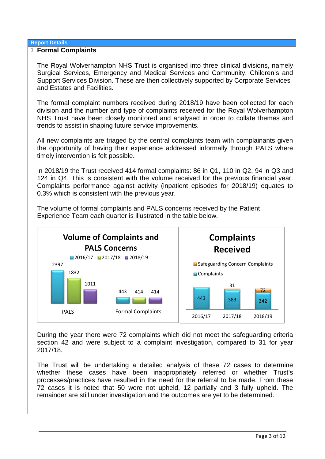### **Report Details**

### 1 **Formal Complaints**

The Royal Wolverhampton NHS Trust is organised into three clinical divisions, namely Surgical Services, Emergency and Medical Services and Community, Children's and Support Services Division. These are then collectively supported by Corporate Services and Estates and Facilities.

The formal complaint numbers received during 2018/19 have been collected for each division and the number and type of complaints received for the Royal Wolverhampton NHS Trust have been closely monitored and analysed in order to collate themes and trends to assist in shaping future service improvements.

All new complaints are triaged by the central complaints team with complainants given the opportunity of having their experience addressed informally through PALS where timely intervention is felt possible.

In 2018/19 the Trust received 414 formal complaints: 86 in Q1, 110 in Q2, 94 in Q3 and 124 in Q4. This is consistent with the volume received for the previous financial year. Complaints performance against activity (inpatient episodes for 2018/19) equates to 0.3% which is consistent with the previous year.



The volume of formal complaints and PALS concerns received by the Patient Experience Team each quarter is illustrated in the table below.

During the year there were 72 complaints which did not meet the safeguarding criteria section 42 and were subject to a complaint investigation, compared to 31 for year 2017/18.

The Trust will be undertaking a detailed analysis of these 72 cases to determine whether these cases have been inappropriately referred or whether Trust's processes/practices have resulted in the need for the referral to be made. From these 72 cases it is noted that 50 were not upheld, 12 partially and 3 fully upheld. The remainder are still under investigation and the outcomes are yet to be determined.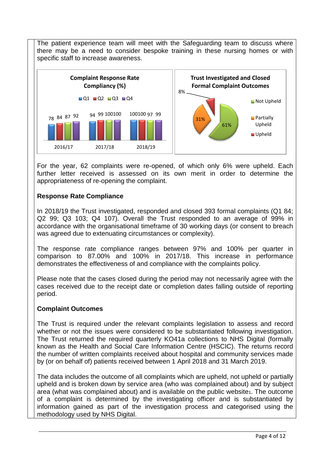The patient experience team will meet with the Safeguarding team to discuss where there may be a need to consider bespoke training in these nursing homes or with specific staff to increase awareness.



For the year, 62 complaints were re-opened, of which only 6% were upheld. Each further letter received is assessed on its own merit in order to determine the appropriateness of re-opening the complaint.

### **Response Rate Compliance**

In 2018/19 the Trust investigated, responded and closed 393 formal complaints (Q1 84; Q2 99; Q3 103; Q4 107). Overall the Trust responded to an average of 99% in accordance with the organisational timeframe of 30 working days (or consent to breach was agreed due to extenuating circumstances or complexity).

The response rate compliance ranges between 97% and 100% per quarter in comparison to 87.00% and 100% in 2017/18. This increase in performance demonstrates the effectiveness of and compliance with the complaints policy.

Please note that the cases closed during the period may not necessarily agree with the cases received due to the receipt date or completion dates falling outside of reporting period.

### **Complaint Outcomes**

The Trust is required under the relevant complaints legislation to assess and record whether or not the issues were considered to be substantiated following investigation. The Trust returned the required quarterly KO41a collections to NHS Digital (formally known as the Health and Social Care Information Centre (HSCIC). The returns record the number of written complaints received about hospital and community services made by (or on behalf of) patients received between 1 April 2018 and 31 March 2019.

The data includes the outcome of all complaints which are upheld, not upheld or partially upheld and is broken down by service area (who was complained about) and by subject area (what was complained about) and is available on the public website1. The outcome of a complaint is determined by the investigating officer and is substantiated by information gained as part of the investigation process and categorised using the methodology used by NHS Digital.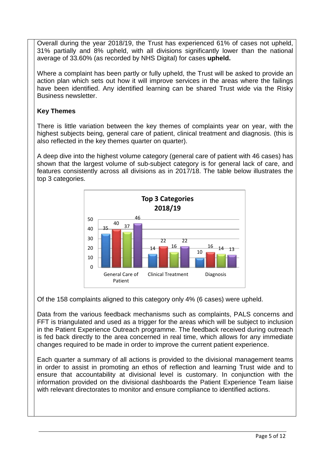Overall during the year 2018/19, the Trust has experienced 61% of cases not upheld, 31% partially and 8% upheld, with all divisions significantly lower than the national average of 33.60% (as recorded by NHS Digital) for cases **upheld.**

Where a complaint has been partly or fully upheld, the Trust will be asked to provide an action plan which sets out how it will improve services in the areas where the failings have been identified. Any identified learning can be shared Trust wide via the Risky Business newsletter.

## **Key Themes**

There is little variation between the key themes of complaints year on year, with the highest subjects being, general care of patient, clinical treatment and diagnosis. (this is also reflected in the key themes quarter on quarter).

A deep dive into the highest volume category (general care of patient with 46 cases) has shown that the largest volume of sub-subject category is for general lack of care, and features consistently across all divisions as in 2017/18. The table below illustrates the top 3 categories.



Of the 158 complaints aligned to this category only 4% (6 cases) were upheld.

Data from the various feedback mechanisms such as complaints, PALS concerns and FFT is triangulated and used as a trigger for the areas which will be subject to inclusion in the Patient Experience Outreach programme. The feedback received during outreach is fed back directly to the area concerned in real time, which allows for any immediate changes required to be made in order to improve the current patient experience.

Each quarter a summary of all actions is provided to the divisional management teams in order to assist in promoting an ethos of reflection and learning Trust wide and to ensure that accountability at divisional level is customary. In conjunction with the information provided on the divisional dashboards the Patient Experience Team liaise with relevant directorates to monitor and ensure compliance to identified actions.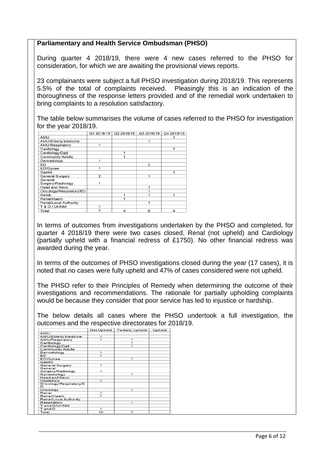### **Parliamentary and Health Service Ombudsman (PHSO)**

During quarter 4 2018/19, there were 4 new cases referred to the PHSO for consideration, for which we are awaiting the provisional views reports.

23 complainants were subject a full PHSO investigation during 2018/19. This represents 5.5% of the total of complaints received. Pleasingly this is an indication of the thoroughness of the response letters provided and of the remedial work undertaken to bring complaints to a resolution satisfactory.

The table below summarises the volume of cases referred to the PHSO for investigation for the year 2018/19.

|                              | Q1 2018/19              | Q2 2018/19 | Q3 2018/19 | Q4 2018/19 |
|------------------------------|-------------------------|------------|------------|------------|
| <b>AMU</b>                   |                         |            |            |            |
| <b>AMU/Elderly Medicine</b>  |                         |            | 1          |            |
| <b>AMU/Respiratory</b>       |                         |            |            |            |
| Cardiology                   |                         |            |            |            |
| Cardiology/Dalt              |                         |            |            |            |
| <b>Community Adults</b>      |                         |            |            |            |
| Dermatology                  |                         |            |            |            |
| ED                           |                         |            | 2          |            |
| ED/Gynae                     |                         |            |            |            |
| Gastro                       |                         |            |            |            |
| <b>General Surgery</b>       | $\overline{\mathbf{z}}$ |            | 1          |            |
| General                      |                         |            |            |            |
| Surgery/Radiology            |                         |            |            |            |
| <b>Head and Neck</b>         |                         |            | 1          |            |
| Oncology/Respiratory/ED      |                         |            |            |            |
| Renal                        |                         |            |            |            |
| Renal/Haem                   |                         |            |            |            |
| <b>Renal/Local Authority</b> |                         |            | 4          |            |
| T& O/UHNM                    |                         |            |            |            |
| Total                        |                         | 4          | 8          | 4          |

In terms of outcomes from investigations undertaken by the PHSO and completed, for quarter 4 2018/19 there were two cases closed, Renal (not upheld) and Cardiology (partially upheld with a financial redress of £1750). No other financial redress was awarded during the year.

In terms of the outcomes of PHSO investigations closed during the year (17 cases), it is noted that no cases were fully upheld and 47% of cases considered were not upheld.

The PHSO refer to their Principles of Remedy when determining the outcome of their investigations and recommendations. The rationale for partially upholding complaints would be because they consider that poor service has led to injustice or hardship.

The below details all cases where the PHSO undertook a full investigation, the outcomes and the respective directorates for 2018/19.

|                              | <b>Not Upheld</b> | <b>Partially Upheld</b> | <b>Upheld</b> |
|------------------------------|-------------------|-------------------------|---------------|
| AMU                          |                   |                         |               |
| <b>AMU/Elderly Medicine</b>  | 1                 |                         |               |
| <b>AMU/Respiratory</b>       | 1                 | 1                       |               |
| Cardiology                   |                   | 1                       |               |
| Cardiology/Dalt              |                   |                         |               |
| <b>Community Adults</b>      |                   |                         |               |
| Dermatology                  | 1                 |                         |               |
| ED                           | 1                 |                         |               |
| <b>ED/Gynae</b>              |                   | 1                       |               |
| Gastro                       |                   |                         |               |
| <b>General Surgery</b>       | 1                 |                         |               |
| General<br>Surgery/Radiology | 1                 |                         |               |
| Gynaecology                  |                   | 1                       |               |
| <b>Head and Neck</b>         |                   |                         |               |
| <b>Obstetrics</b>            | 1                 |                         |               |
| Oncology/Respiratory/E<br>D  |                   |                         |               |
| Oncology                     |                   | 1                       |               |
| Renal                        | 1                 |                         |               |
| Renal/Haem                   | 1                 |                         |               |
| Renal/Local Authority        |                   |                         |               |
| Respiratory                  |                   | 1                       |               |
| T and O/UHNM                 |                   |                         |               |
| T and O                      | 1                 |                         |               |
| Total                        | 10                | 7                       |               |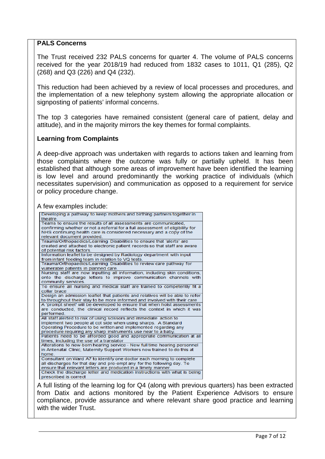### **PALS Concerns**

The Trust received 232 PALS concerns for quarter 4. The volume of PALS concerns received for the year 2018/19 had reduced from 1832 cases to 1011, Q1 (285), Q2 (268) and Q3 (226) and Q4 (232).

This reduction had been achieved by a review of local processes and procedures, and the implementation of a new telephony system allowing the appropriate allocation or signposting of patients' informal concerns.

The top 3 categories have remained consistent (general care of patient, delay and attitude), and in the majority mirrors the key themes for formal complaints.

### **Learning from Complaints**

A deep-dive approach was undertaken with regards to actions taken and learning from those complaints where the outcome was fully or partially upheld. It has been established that although some areas of improvement have been identified the learning is low level and around predominantly the working practice of individuals (which necessitates supervision) and communication as opposed to a requirement for service or policy procedure change.

### A few examples include:

| Developing a pathway to keep mothers and birthing partners together in<br>theatre.<br>Teams to ensure the results of all assessments are communicated,<br>confirming whether or not a referral for a full assessment of eligibility for<br>NHS continuing health care is considered necessary and a copy of the<br>relevant document provided.<br>Trauma/Orthopaedics/Learning Disabilities to ensure that 'alerts' are<br>created and attached to electronic patient records so that staff are aware<br>of potential risk factors.<br>Information leaflet to be designed by Radiology department with input<br>from infant feeding team in relation to VQ tests.<br>Trauma/Orthopaedics/Learning Disabilities to review care pathway for<br>vulnerable patients in planned care. |
|-----------------------------------------------------------------------------------------------------------------------------------------------------------------------------------------------------------------------------------------------------------------------------------------------------------------------------------------------------------------------------------------------------------------------------------------------------------------------------------------------------------------------------------------------------------------------------------------------------------------------------------------------------------------------------------------------------------------------------------------------------------------------------------|
|                                                                                                                                                                                                                                                                                                                                                                                                                                                                                                                                                                                                                                                                                                                                                                                   |
|                                                                                                                                                                                                                                                                                                                                                                                                                                                                                                                                                                                                                                                                                                                                                                                   |
|                                                                                                                                                                                                                                                                                                                                                                                                                                                                                                                                                                                                                                                                                                                                                                                   |
|                                                                                                                                                                                                                                                                                                                                                                                                                                                                                                                                                                                                                                                                                                                                                                                   |
|                                                                                                                                                                                                                                                                                                                                                                                                                                                                                                                                                                                                                                                                                                                                                                                   |
|                                                                                                                                                                                                                                                                                                                                                                                                                                                                                                                                                                                                                                                                                                                                                                                   |
|                                                                                                                                                                                                                                                                                                                                                                                                                                                                                                                                                                                                                                                                                                                                                                                   |
|                                                                                                                                                                                                                                                                                                                                                                                                                                                                                                                                                                                                                                                                                                                                                                                   |
|                                                                                                                                                                                                                                                                                                                                                                                                                                                                                                                                                                                                                                                                                                                                                                                   |
|                                                                                                                                                                                                                                                                                                                                                                                                                                                                                                                                                                                                                                                                                                                                                                                   |
|                                                                                                                                                                                                                                                                                                                                                                                                                                                                                                                                                                                                                                                                                                                                                                                   |
|                                                                                                                                                                                                                                                                                                                                                                                                                                                                                                                                                                                                                                                                                                                                                                                   |
|                                                                                                                                                                                                                                                                                                                                                                                                                                                                                                                                                                                                                                                                                                                                                                                   |
| Nursing staff are now inputting all information, including skin conditions,                                                                                                                                                                                                                                                                                                                                                                                                                                                                                                                                                                                                                                                                                                       |
| onto the discharge letters to improve communication channels with                                                                                                                                                                                                                                                                                                                                                                                                                                                                                                                                                                                                                                                                                                                 |
| community services.                                                                                                                                                                                                                                                                                                                                                                                                                                                                                                                                                                                                                                                                                                                                                               |
| To ensure all nursing and medical staff are trained to competently fit a                                                                                                                                                                                                                                                                                                                                                                                                                                                                                                                                                                                                                                                                                                          |
| collar brace                                                                                                                                                                                                                                                                                                                                                                                                                                                                                                                                                                                                                                                                                                                                                                      |
| Design an admission leaflet that patients and relatives will be able to refer                                                                                                                                                                                                                                                                                                                                                                                                                                                                                                                                                                                                                                                                                                     |
| to throughout their stay to be more informed and involved with their care                                                                                                                                                                                                                                                                                                                                                                                                                                                                                                                                                                                                                                                                                                         |
| A 'prompt sheet' will be developed to ensure that when hoist assessments                                                                                                                                                                                                                                                                                                                                                                                                                                                                                                                                                                                                                                                                                                          |
| are conducted, the clinical record reflects the context in which it was                                                                                                                                                                                                                                                                                                                                                                                                                                                                                                                                                                                                                                                                                                           |
| performed.                                                                                                                                                                                                                                                                                                                                                                                                                                                                                                                                                                                                                                                                                                                                                                        |
| All staff alerted to risk of using scissors and immediate action to                                                                                                                                                                                                                                                                                                                                                                                                                                                                                                                                                                                                                                                                                                               |
| implement two people at cot side when using sharps. A Standard                                                                                                                                                                                                                                                                                                                                                                                                                                                                                                                                                                                                                                                                                                                    |
| Operating Procedure to be written and implemented regarding any                                                                                                                                                                                                                                                                                                                                                                                                                                                                                                                                                                                                                                                                                                                   |
| procedure requiring any sharp instruments use near to a baby.                                                                                                                                                                                                                                                                                                                                                                                                                                                                                                                                                                                                                                                                                                                     |
| Patients need to be afforded good and appropriate communication at all                                                                                                                                                                                                                                                                                                                                                                                                                                                                                                                                                                                                                                                                                                            |
| times, including the use of a translator                                                                                                                                                                                                                                                                                                                                                                                                                                                                                                                                                                                                                                                                                                                                          |
| Alterations to new-born hearing service - New full time hearing personnel                                                                                                                                                                                                                                                                                                                                                                                                                                                                                                                                                                                                                                                                                                         |
| in Antenatal Clinic, Maternity Support Workers now trained to do this at                                                                                                                                                                                                                                                                                                                                                                                                                                                                                                                                                                                                                                                                                                          |
| home.                                                                                                                                                                                                                                                                                                                                                                                                                                                                                                                                                                                                                                                                                                                                                                             |
| Consultant on Ward A7 to identify one doctor each morning to complete                                                                                                                                                                                                                                                                                                                                                                                                                                                                                                                                                                                                                                                                                                             |
| all discharges for that day and pre-empt any for the following day. To                                                                                                                                                                                                                                                                                                                                                                                                                                                                                                                                                                                                                                                                                                            |
| ensure that relevant letters are produced in a timely manner.                                                                                                                                                                                                                                                                                                                                                                                                                                                                                                                                                                                                                                                                                                                     |
| Check the discharge letter and medication instructions with what is being                                                                                                                                                                                                                                                                                                                                                                                                                                                                                                                                                                                                                                                                                                         |
| prescribed is correct                                                                                                                                                                                                                                                                                                                                                                                                                                                                                                                                                                                                                                                                                                                                                             |

ha full and itsing our sure the log in the log in the previous purers from Datix and actions monitored by the Patient Experience Advisors to ensure compliance, provide assurance and where relevant share good practice and learning with the wider Trust.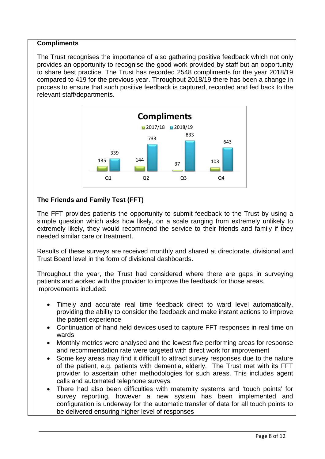### **Compliments**

The Trust recognises the importance of also gathering positive feedback which not only provides an opportunity to recognise the good work provided by staff but an opportunity to share best practice. The Trust has recorded 2548 compliments for the year 2018/19 compared to 419 for the previous year. Throughout 2018/19 there has been a change in process to ensure that such positive feedback is captured, recorded and fed back to the relevant staff/departments.



# **The Friends and Family Test (FFT)**

The FFT provides patients the opportunity to submit feedback to the Trust by using a simple question which asks how likely, on a scale ranging from extremely unlikely to extremely likely, they would recommend the service to their friends and family if they needed similar care or treatment.

Results of these surveys are received monthly and shared at directorate, divisional and Trust Board level in the form of divisional dashboards.

Throughout the year, the Trust had considered where there are gaps in surveying patients and worked with the provider to improve the feedback for those areas. Improvements included:

- Timely and accurate real time feedback direct to ward level automatically, providing the ability to consider the feedback and make instant actions to improve the patient experience
- Continuation of hand held devices used to capture FFT responses in real time on wards
- Monthly metrics were analysed and the lowest five performing areas for response and recommendation rate were targeted with direct work for improvement
- Some key areas may find it difficult to attract survey responses due to the nature of the patient, e.g. patients with dementia, elderly. The Trust met with its FFT provider to ascertain other methodologies for such areas. This includes agent calls and automated telephone surveys
- There had also been difficulties with maternity systems and 'touch points' for survey reporting, however a new system has been implemented and configuration is underway for the automatic transfer of data for all touch points to be delivered ensuring higher level of responses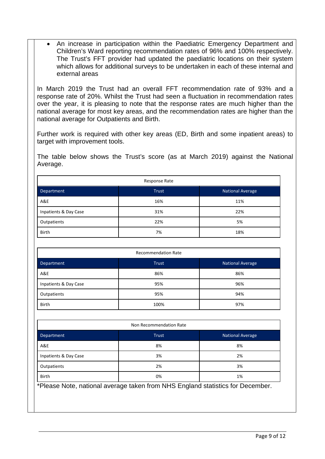• An increase in participation within the Paediatric Emergency Department and Children's Ward reporting recommendation rates of 96% and 100% respectively. The Trust's FFT provider had updated the paediatric locations on their system which allows for additional surveys to be undertaken in each of these internal and external areas

In March 2019 the Trust had an overall FFT recommendation rate of 93% and a response rate of 20%. Whilst the Trust had seen a fluctuation in recommendation rates over the year, it is pleasing to note that the response rates are much higher than the national average for most key areas, and the recommendation rates are higher than the national average for Outpatients and Birth.

Further work is required with other key areas (ED, Birth and some inpatient areas) to target with improvement tools.

The table below shows the Trust's score (as at March 2019) against the National Average.

| Response Rate         |       |                         |  |
|-----------------------|-------|-------------------------|--|
| Department            | Trust | <b>National Average</b> |  |
| A&E                   | 16%   | 11%                     |  |
| Inpatients & Day Case | 31%   | 22%                     |  |
| Outpatients           | 22%   | 5%                      |  |
| <b>Birth</b>          | 7%    | 18%                     |  |

| <b>Recommendation Rate</b> |              |                         |
|----------------------------|--------------|-------------------------|
| Department                 | <b>Trust</b> | <b>National Average</b> |
| A&E                        | 86%          | 86%                     |
| Inpatients & Day Case      | 95%          | 96%                     |
| Outpatients                | 95%          | 94%                     |
| <b>Birth</b>               | 100%         | 97%                     |

| Non Recommendation Rate                                                        |              |                         |  |
|--------------------------------------------------------------------------------|--------------|-------------------------|--|
| Department                                                                     | <b>Trust</b> | <b>National Average</b> |  |
| A&E                                                                            | 8%           | 8%                      |  |
| Inpatients & Day Case                                                          | 3%           | 2%                      |  |
| Outpatients                                                                    | 2%           | 3%                      |  |
| <b>Birth</b><br>0%<br>1%                                                       |              |                         |  |
| *Please Note, national average taken from NHS England statistics for December. |              |                         |  |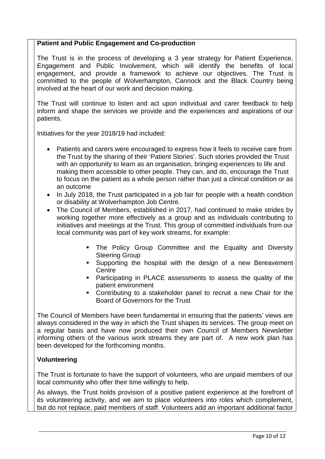### **Patient and Public Engagement and Co-production**

The Trust is in the process of developing a 3 year strategy for Patient Experience, Engagement and Public Involvement, which will identify the benefits of local engagement, and provide a framework to achieve our objectives. The Trust is committed to the people of Wolverhampton, Cannock and the Black Country being involved at the heart of our work and decision making.

The Trust will continue to listen and act upon individual and carer feedback to help inform and shape the services we provide and the experiences and aspirations of our patients.

Initiatives for the year 2018/19 had included:

- Patients and carers were encouraged to express how it feels to receive care from the Trust by the sharing of their 'Patient Stories'. Such stories provided the Trust with an opportunity to learn as an organisation, bringing experiences to life and making them accessible to other people. They can, and do, encourage the Trust to focus on the patient as a whole person rather than just a clinical condition or as an outcome
- In July 2018, the Trust participated in a job fair for people with a health condition or disability at Wolverhampton Job Centre.
- The Council of Members, established in 2017, had continued to make strides by working together more effectively as a group and as individuals contributing to initiatives and meetings at the Trust. This group of committed individuals from our local community was part of key work streams, for example:
	- **The Policy Group Committee and the Equality and Diversity** Steering Group
	- Supporting the hospital with the design of a new Bereavement **Centre**
	- Participating in PLACE assessments to assess the quality of the patient environment
	- Contributing to a stakeholder panel to recruit a new Chair for the Board of Governors for the Trust

The Council of Members have been fundamental in ensuring that the patients' views are always considered in the way in which the Trust shapes its services. The group meet on a regular basis and have now produced their own Council of Members Newsletter informing others of the various work streams they are part of. A new work plan has been developed for the forthcoming months.

### **Volunteering**

The Trust is fortunate to have the support of volunteers, who are unpaid members of our local community who offer their time willingly to help.

As always, the Trust holds provision of a positive patient experience at the forefront of its volunteering activity, and we aim to place volunteers into roles which complement, but do not replace, paid members of staff. Volunteers add an important additional factor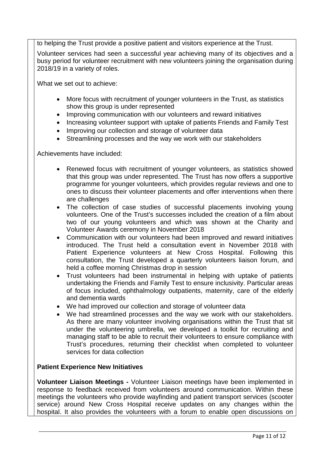to helping the Trust provide a positive patient and visitors experience at the Trust.

Volunteer services had seen a successful year achieving many of its objectives and a busy period for volunteer recruitment with new volunteers joining the organisation during 2018/19 in a variety of roles.

What we set out to achieve:

- More focus with recruitment of younger volunteers in the Trust, as statistics show this group is under represented
- Improving communication with our volunteers and reward initiatives
- Increasing volunteer support with uptake of patients Friends and Family Test
- Improving our collection and storage of volunteer data
- Streamlining processes and the way we work with our stakeholders

Achievements have included:

- Renewed focus with recruitment of younger volunteers, as statistics showed that this group was under represented. The Trust has now offers a supportive programme for younger volunteers, which provides regular reviews and one to ones to discuss their volunteer placements and offer interventions when there are challenges
- The collection of case studies of successful placements involving young volunteers. One of the Trust's successes included the creation of a film about two of our young volunteers and which was shown at the Charity and Volunteer Awards ceremony in November 2018
- Communication with our volunteers had been improved and reward initiatives introduced. The Trust held a consultation event in November 2018 with Patient Experience volunteers at New Cross Hospital. Following this consultation, the Trust developed a quarterly volunteers liaison forum, and held a coffee morning Christmas drop in session
- Trust volunteers had been instrumental in helping with uptake of patients undertaking the Friends and Family Test to ensure inclusivity. Particular areas of focus included, ophthalmology outpatients, maternity, care of the elderly and dementia wards
- We had improved our collection and storage of volunteer data
- We had streamlined processes and the way we work with our stakeholders. As there are many volunteer involving organisations within the Trust that sit under the volunteering umbrella, we developed a toolkit for recruiting and managing staff to be able to recruit their volunteers to ensure compliance with Trust's procedures, returning their checklist when completed to volunteer services for data collection

### **Patient Experience New Initiatives**

**Volunteer Liaison Meetings -** Volunteer Liaison meetings have been implemented in response to feedback received from volunteers around communication. Within these meetings the volunteers who provide wayfinding and patient transport services (scooter service) around New Cross Hospital receive updates on any changes within the hospital. It also provides the volunteers with a forum to enable open discussions on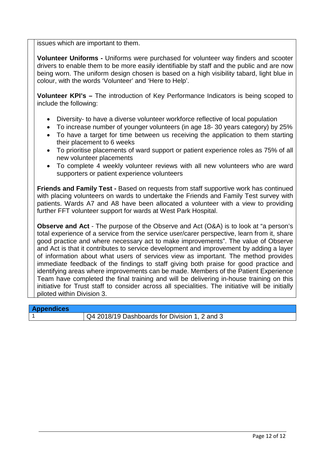issues which are important to them.

**Volunteer Uniforms -** Uniforms were purchased for volunteer way finders and scooter drivers to enable them to be more easily identifiable by staff and the public and are now being worn. The uniform design chosen is based on a high visibility tabard, light blue in colour, with the words 'Volunteer' and 'Here to Help'.

**Volunteer KPI's –** The introduction of Key Performance Indicators is being scoped to include the following:

- Diversity- to have a diverse volunteer workforce reflective of local population
- To increase number of younger volunteers (in age 18- 30 years category) by 25%
- To have a target for time between us receiving the application to them starting their placement to 6 weeks
- To prioritise placements of ward support or patient experience roles as 75% of all new volunteer placements
- To complete 4 weekly volunteer reviews with all new volunteers who are ward supporters or patient experience volunteers

**Friends and Family Test -** Based on requests from staff supportive work has continued with placing volunteers on wards to undertake the Friends and Family Test survey with patients. Wards A7 and A8 have been allocated a volunteer with a view to providing further FFT volunteer support for wards at West Park Hospital.

**Observe and Act** - The purpose of the Observe and Act (O&A) is to look at "a person's total experience of a service from the service user/carer perspective, learn from it, share good practice and where necessary act to make improvements". The value of Observe and Act is that it contributes to service development and improvement by adding a layer of information about what users of services view as important. The method provides immediate feedback of the findings to staff giving both praise for good practice and identifying areas where improvements can be made. Members of the Patient Experience Team have completed the final training and will be delivering in-house training on this initiative for Trust staff to consider across all specialities. The initiative will be initially piloted within Division 3.

| <b>Appendices</b> |                                               |
|-------------------|-----------------------------------------------|
|                   | Q4 2018/19 Dashboards for Division 1, 2 and 3 |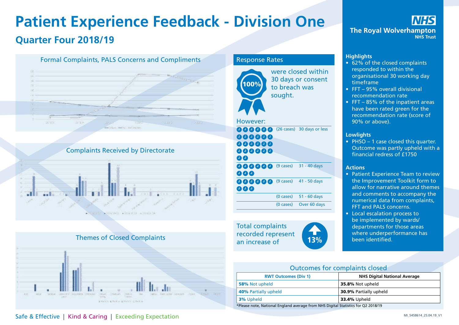# **Patient Experience Feedback - Division One Quarter Four 2018/19**







### Response Rates



were closed within 30 days or consent to breach was sought.

### However:

- **00000** (26 cases) 30 days or less 888888 000000 000000 00
- $00000$  (9 cases) 000 31 - 40 days 000000 (9 cases) 000 (9 cases) 41 - 50 days (0 cases) 51 - 60 days

(0 cases) Over 60 days

Total complaints recorded represent an increase of 13%



### **Highlights**

- 62% of the closed complaints responded to within the organisational 30 working day timeframe
- FFT 95% overall divisional recommendation rate
- FFT 85% of the inpatient areas have been rated green for the recommendation rate (score of 90% or above).

#### **Lowlights**

• PHSO – 1 case closed this quarter. Outcome was partly upheld with a financial redress of £1750

#### **Actions**

- Patient Experience Team to review the Improvement Toolkit form to allow for narrative around themes and comments to accompany the numerical data from complaints, FFT and PALS concerns.
- Local escalation process to be implemented by wards/ departments for those areas where underperformance has been identified.

| <b>Outcomes for complaints closed</b>                                             |                               |  |
|-----------------------------------------------------------------------------------|-------------------------------|--|
| <b>RWT Outcomes (Div 1)</b><br><b>NHS Digital National Average</b>                |                               |  |
| 58% Not upheld                                                                    | 35.8% Not upheld              |  |
| <b>40% Partially upheld</b>                                                       | <b>30.9% Partially upheld</b> |  |
| <b>3%</b> Upheld<br><b>33.4% Upheld</b>                                           |                               |  |
| *Please note, National England average from NHS Digital Statistics for Q2 2018/19 |                               |  |

### Safe & Effective | Kind & Caring | Exceeding Expectation **Safe & Effective | Kind & Caring | Exceeding Expectation**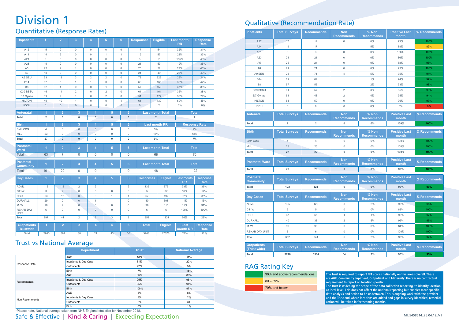# Division 1

### Quantitative (Response Rates)

| <b>Inpatients</b>                      | $\overline{1}$ | $\overline{2}$      | 3                   | $\overline{4}$      | 5              |                | $6\phantom{a}$      | <b>Responses</b> | <b>Eligible</b>         |                 | <b>Last month</b><br><b>RR</b> | <b>Response</b><br><b>Rate</b> |
|----------------------------------------|----------------|---------------------|---------------------|---------------------|----------------|----------------|---------------------|------------------|-------------------------|-----------------|--------------------------------|--------------------------------|
| A12                                    | 15             | $\overline{2}$      | $\circ$             | $\mathbf 0$         | $\mathbf 0$    |                | $\mathbf 0$         | 17               | 54                      |                 | 32%                            | 31%                            |
| A14                                    | 14             | 3                   | $\overline{0}$      | $\mathbf 0$         | $\mathbf{1}$   |                | $\overline{1}$      | 19               | 57                      |                 | 28%                            | 33%                            |
| A21                                    | 3              | $\mathbf 0$         | $\mathbf 0$         | $\mathbf 0$         | $\mathbf 0$    |                | $\mathbf 0$         | $\overline{3}$   | $\overline{7}$          |                 | 155%                           | 43%                            |
| A23                                    | 19             | $\overline{2}$      | $\mathbf 0$         | $\mathbf 0$         | $\mathbf 0$    |                | $\mathbf 0$         | 21               | 59                      |                 | 19%                            | 36%                            |
| A <sub>5</sub>                         | 22             | $\overline{2}$      | $\mathbf{1}$        | $\mathbf 0$         | $\mathbf 0$    |                | $\mathbf 0$         | 25               | 52                      |                 | 27%                            | 48%                            |
| A <sub>6</sub>                         | 18             | 3                   | $\mathbf 0$         | $\mathbf 0$         | $\overline{0}$ |                | $\mathbf 0$         | 21               | 49                      |                 | 26%                            | 43%                            |
| A9 SEU                                 | 53             | 18                  | 3                   | $\overline{2}$      | $\overline{2}$ |                | $\mathbf 0$         | 78               | 326                     |                 | 29%                            | 24%                            |
| <b>B14</b>                             | 62             | 5                   | 1                   | 1                   | $\overline{0}$ |                | $\mathbf 0$         | 69               | 165                     |                 | 38%                            | 42%                            |
| B <sub>8</sub>                         | 52             | $\overline{4}$      | $\mathbf 0$         | $\mathbf 0$         | $\mathbf{1}$   |                | $\mathbf 0$         | 57               | 150                     |                 | 47%                            | 38%                            |
| C39 BSSU                               | 46             | 11                  | $\overline{2}$      | $\mathbf 0$         | $\overline{2}$ |                | $\mathbf 0$         | 61               | 161                     |                 | 35%                            | 38%                            |
| D7 Gynae                               | 39             | 9                   | $\mathbf{1}$        | $\mathbf 0$         | $\overline{2}$ |                | $\mathbf 0$         | 51               | 177                     |                 | 33%                            | 29%                            |
| <b>HILTON</b>                          | 49             | 10                  | $\mathbf{1}$        | 0                   | 0              |                | $\mathbf{1}$        | 61               | 130                     |                 | 50%                            | 45%                            |
| <b>ICCU</b>                            | $\overline{0}$ | $\mathbf{0}$        | $\overline{0}$      | $\mathsf{O}\xspace$ | $\mathbf 0$    |                | $\mathbf 0$         | $\mathbf{0}$     | $\overline{2}$          |                 | 0%                             | 0%                             |
| <b>Antenatal</b>                       | $\overline{1}$ | $\overline{2}$      | $\overline{3}$      | $\overline{4}$      |                | $\overline{5}$ | $6\phantom{a}$      |                  | <b>Last month Total</b> |                 |                                | <b>Total</b>                   |
| <b>Total</b>                           | $\overline{2}$ | $\mathbf 0$         | $\overline{0}$      | $\overline{0}$      |                | $\mathbf{0}$   | $\mathbf{0}$        |                  | $\overline{2}$          |                 |                                | $\overline{2}$                 |
| <b>Birth</b>                           | 1              | $\overline{2}$      | 3                   | 4                   |                | $\overline{5}$ | $6\phantom{a}$      |                  | <b>Last month RR</b>    |                 |                                | <b>Response Rate</b>           |
| <b>Birth CDS</b>                       | $\overline{4}$ | $\mathbf 0$         | $\overline{0}$      | $\mathbf{0}$        |                | $\mathbf 0$    | 0                   |                  | 3%                      |                 |                                | 2%                             |
| <b>MLU</b>                             | 23             | $\mathsf{O}\xspace$ | $\mathbf 0$         | $\overline{0}$      |                | $\mathbf 0$    | 0                   |                  | 15%                     |                 |                                | 12%                            |
| <b>Total</b>                           | 27             | $\mathbf{0}$        | $\mathbf{0}$        | 0                   |                | $\mathbf 0$    | 0                   |                  | 9%                      |                 |                                | 7%                             |
| <b>Postnatal</b><br><b>Ward</b>        | $\overline{1}$ | $\overline{2}$      | 3                   | 4                   |                | 5              | 6                   |                  | <b>Last month Total</b> |                 |                                | <b>Total</b>                   |
| <b>Total</b>                           | 63             | $\overline{7}$      | 0                   | 0                   |                | $\mathbf 0$    | $\mathbf 0$         |                  | 68                      |                 |                                | 70                             |
| <b>Postnatal</b><br><b>Community</b>   | -1             | $\overline{2}$      | 3                   | 4                   |                | 5              | 6                   |                  | <b>Last month Total</b> |                 |                                | <b>Total</b>                   |
| <b>Total</b>                           | 101            | 20                  | $\mathsf{O}\xspace$ | 0                   |                | $\mathbf{1}$   | $\mathsf{O}\xspace$ |                  | 48                      |                 |                                | 122                            |
| Day Cases                              | $\mathbf{1}$   | $\overline{2}$      | 3                   | $\overline{4}$      |                | $\overline{5}$ | $6\phantom{a}$      | <b>Responses</b> |                         | Eligible        | <b>Last month</b><br><b>RR</b> | Response<br>Rate               |
| <b>ADML</b>                            | 116            | 12                  | $\overline{2}$      | $\overline{2}$      |                | $\mathbf{1}$   | $\overline{2}$      | 135              |                         | 373             | 33%                            | 36%                            |
| C41W                                   | 3              | $\overline{2}$      | $\mathbf 0$         | $\mathbf 0$         |                | $\mathbf 0$    | 0                   | $\overline{5}$   |                         | 37              | 16%                            | 14%                            |
| <b>DCU</b>                             | 53             | 12                  | $\overline{0}$      | $\mathsf{O}\xspace$ |                | $\mathbf{1}$   | $\mathbf{1}$        | 67               |                         | 192             | 32%                            | 35%                            |
| <b>DURNALL</b>                         | 29             | 9                   | $\overline{0}$      | $\overline{1}$      |                | $\mathbf{1}$   | $\mathbf 0$         | 40               |                         | 308             | 11%                            | 13%                            |
| <b>MJW</b>                             | 90             | 9                   | $\overline{0}$      | $\overline{0}$      |                | $\mathbf 0$    | $\mathbf 0$         | 99               |                         | 315             | 31%                            | 31%                            |
| <b>REHAB DAY</b><br><b>UNIT</b>        | 6              | $\mathbf 0$         | $\mathbf 0$         | $\mathbf{0}$        |                | $\mathbf 0$    | 0                   | 6                |                         | 6               | 100%                           | 100%                           |
| Total                                  | 297            | 44                  | $\overline{2}$      | 3                   |                | 3              | $\mathsf 3$         | 352              |                         | 1231            | 26%                            | 29%                            |
| <b>Outpatients</b><br><b>Trustwide</b> | $\overline{1}$ | $\overline{2}$      | 3                   | $\overline{4}$      |                | $\overline{5}$ | $6\phantom{a}$      | <b>Total</b>     |                         | <b>Eligible</b> | Last<br>month RR               | <b>Response</b><br><b>Rate</b> |
| Total                                  | 2980           | 584                 | 88                  | 21                  |                | 43             | 30                  | 3746             |                         | 17076           | 21%                            | 22%                            |

### Trust vs National Average

|                | <b>Department</b>     | <b>Trust</b>   | <b>National Average</b> |  |  |
|----------------|-----------------------|----------------|-------------------------|--|--|
|                | A&E                   | 16%            | 11%                     |  |  |
| Response Rate  | Inpatients & Day Case | 31%            | 22%                     |  |  |
|                | Outpatients           | 22%            | 5%                      |  |  |
|                | <b>Birth</b>          | 7%             | 18%                     |  |  |
|                | A&E                   | 86%            | 86%                     |  |  |
| Recommends     | Inpatients & Day Case | 95%            | 96%                     |  |  |
|                | Outpatients           | 95%            | 94%                     |  |  |
|                | <b>Birth</b>          | 100%           | 97%                     |  |  |
| Non Recommends | A&E                   | 8%             | 8%                      |  |  |
|                | Inpatients & Day Case | 3%             | 2%                      |  |  |
|                | Outpatients           | 2%             | 3%                      |  |  |
|                | DOME.                 | 0 <sup>0</sup> | ADI                     |  |  |

### Qualitative (Recommendation Rate)

| <b>Inpatients</b>                    | <b>Total Surveys</b> | <b>Recommends</b>   | <b>Non</b><br><b>Recommends</b> | % Non<br><b>Recommends</b> | <b>Positive Last</b><br>month | % Recommends |
|--------------------------------------|----------------------|---------------------|---------------------------------|----------------------------|-------------------------------|--------------|
| A12                                  | 17                   | 17                  | $\overline{0}$                  | 0%                         | 93%                           | 100%         |
| A14                                  | 19                   | 17                  | 1                               | 5%                         | 88%                           | 89%          |
| A21                                  | $\mathsf 3$          | 3                   | $\overline{0}$                  | 0%                         | 100%                          | 100%         |
| A23                                  | 21                   | 21                  | $\mathbf 0$                     | 0%                         | 86%                           | 100%         |
| A <sub>5</sub>                       | 25                   | 24                  | $\mathbf 0$                     | 0%                         | 88%                           | 96%          |
| A <sub>6</sub>                       | 21                   | 21                  | $\overline{0}$                  | 0%                         | 93%                           | 100%         |
| A9 SEU                               | 78                   | 71                  | 4                               | 5%                         | 75%                           | 91%          |
| <b>B14</b>                           | 69                   | 67                  | $\mathbf{1}$                    | 1%                         | 94%                           | 97%          |
| B <sub>8</sub>                       | 57                   | 56                  | $\mathbf{1}$                    | 2%                         | 93%                           | 98%          |
| C39 BSSU                             | 61                   | 57                  | $\overline{2}$                  | 3%                         | 95%                           | 93%          |
| D7 Gynae                             | 51                   | 48                  | $\overline{2}$                  | 4%                         | 95%                           | 94%          |
| <b>HILTON</b>                        | 61                   | 59                  | $\overline{0}$                  | 0%                         | 96%                           | 97%          |
| <b>ICCU</b>                          | $\mathbf 0$          | $\mathsf{O}\xspace$ | $\mathbf 0$                     | 0%                         | 0%                            | 0%           |
| <b>Antenatal</b>                     | <b>Total Surveys</b> | <b>Recommends</b>   | <b>Non</b><br><b>Recommends</b> | % Non<br><b>Recommends</b> | <b>Positive Last</b><br>month | % Recommends |
| <b>Total</b>                         | $\overline{2}$       | $\overline{2}$      | 0                               | $0\%$                      | 100%                          | 100%         |
| <b>Birth</b>                         | <b>Total Surveys</b> | <b>Recommends</b>   | <b>Non</b><br><b>Recommends</b> | % Non<br><b>Recommends</b> | <b>Positive Last</b><br>month | % Recommends |
| <b>Birth CDS</b>                     | $\overline{4}$       | $\overline{4}$      | $\overline{0}$                  | $0\%$                      | 100%                          | 100%         |
| <b>MLU</b>                           | 23                   | 23                  | $\mathbf 0$                     | 0%                         | 100%                          | 100%         |
| <b>Total</b>                         | 27                   | 27                  | 0                               | 0%                         | 100%                          | 100%         |
| <b>Postnatal Ward</b>                | <b>Total Surveys</b> | <b>Recommends</b>   | <b>Non</b><br><b>Recommends</b> | % Non<br><b>Recommends</b> | <b>Positive Last</b><br>month | % Recommends |
| <b>Total</b>                         | 70                   | 70                  | $\mathbf{0}$                    | 0%                         | 99%                           | 100%         |
| <b>Postnatal</b><br><b>Community</b> | <b>Total Surveys</b> | <b>Recommends</b>   | <b>Non</b><br><b>Recommends</b> | % Non<br><b>Recommends</b> | <b>Positive Last</b><br>month | % Recommends |
| <b>Total</b>                         | 122                  | 121                 | $\mathbf 0$                     | $0\%$                      | 96%                           | 99%          |
| <b>Day Cases</b>                     | <b>Total Surveys</b> | <b>Recommends</b>   | <b>Non</b><br><b>Recommends</b> | % Non<br><b>Recommends</b> | <b>Positive Last</b><br>month | % Recommends |
| <b>ADML</b>                          | 135                  | 128                 | 3                               | 2%                         | 98%                           | 95%          |
| C41W                                 | $\,$ 5 $\,$          | 5                   | $\overline{0}$                  | 0%                         | 88%                           | 100%         |
| DCU                                  | 67                   | 65                  | 1                               | $1\%$                      | 96%                           | 97%          |
| <b>DURNALL</b>                       | 40                   | 38                  | $\overline{2}$                  | 5%                         | 95%                           | 95%          |
| MJW                                  | 99                   | 99                  | $\overline{0}$                  | 0%                         | 84%                           | 100%         |
| <b>REHAB DAY UNIT</b>                | 6                    | 6                   | $\mathbf 0$                     | 0%                         | 100%                          | 100%         |
| Total                                | 352                  | 341                 | 6                               | 2%                         | 93%                           | 97%          |
| <b>Outpatients</b><br>(Trust wide)   | <b>Total Surveys</b> | <b>Recommends</b>   | <b>Non</b><br><b>Recommends</b> | % Non<br><b>Recommends</b> | <b>Positive Last</b><br>month | % Recommends |
| <b>Total</b>                         | 3746                 | 3564                | 64                              | 2%                         | 95%                           | 95%          |

### RAG Rating Key

| 90% and above recommendations |
|-------------------------------|
| $80 - 89%$                    |
| 79% and below                 |

**The Trust is required to report FFT scores nationally on five areas overall. These are A&E, Community, Inpatient, Outpatient and Maternity. There is no contractual** 

requirement to report on location specific.<br>The Trust is widening the scope of the data collection reporting, to identify location<br>at local level. This does not affect the national reporting but enables more specific<br>data **action will be taken in forthcoming months.**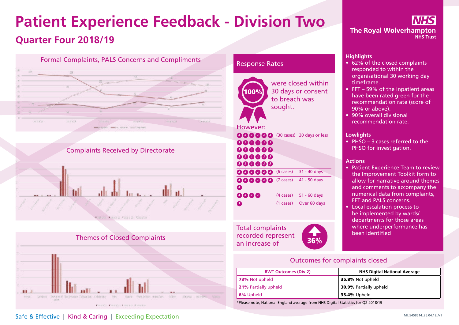# **Patient Experience Feedback - Division Two Quarter Four 2018/19**







### Response Rates



Total complaints where underpendent where underpendent the state of the state of the state of the state of the state of the state of the state of the state of the state of the state of the state of the state of the state o recorded represent an increase of **36%** 



### **Highlights**

- 62% of the closed complaints responded to within the organisational 30 working day timeframe.
- FFT 59% of the inpatient areas have been rated green for the recommendation rate (score of 90% or above).
- 90% overall divisional recommendation rate.

#### **Lowlights**

• PHSO – 3 cases referred to the PHSO for investigation.

### **Actions**

- Patient Experience Team to review the Improvement Toolkit form to allow for narrative around themes and comments to accompany the numerical data from complaints, FFT and PALS concerns.
- Local escalation process to be implemented by wards/ departments for those areas where underperformance has

### Outcomes for complaints closed

| <b>RWT Outcomes (Div 2)</b> | <b>NHS Digital National Average</b> |
|-----------------------------|-------------------------------------|
| 73% Not upheld              | 35.8% Not upheld                    |
| 21% Partially upheld        | <b>30.9% Partially upheld</b>       |
| <b>6%</b> Upheld            | <b>33.4%</b> Upheld                 |

\*Please note, National England average from NHS Digital Statistics for Q2 2018/19

# Safe & Effective | Kind & Caring | Exceeding Expectation **Safe & Effective | Kind & Caring | Exceeding Expectation**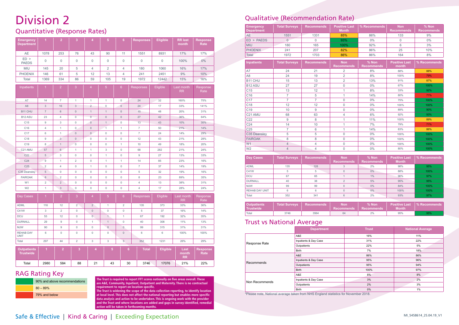# Division 2

### Quantitative (Response Rates)

| <b>Emergency</b><br><b>Department</b>  | $\overline{1}$           | $\overline{2}$            | $\overline{3}$      | 4                   | 5                   | $6\phantom{a}$      | <b>Responses</b> | <b>Eligible</b> | <b>RR</b> last<br>month    | <b>Response</b><br>Rate |
|----------------------------------------|--------------------------|---------------------------|---------------------|---------------------|---------------------|---------------------|------------------|-----------------|----------------------------|-------------------------|
| <b>AE</b>                              | 1078                     | 253                       | 76                  | 43                  | 90                  | 11                  | 1551             | 8931            | 17%                        | 17%                     |
| $ED$ ><br><b>PAEDS</b>                 | $\Omega$                 | $\Omega$                  | $\mathbf{0}$        | 0                   | 0                   | $\mathbf 0$         | $\Omega$         | 0               | 100%                       | 0%                      |
| <b>MIU</b>                             | 145                      | 20                        | 5                   | 4                   | $\overline{2}$      | $\overline{4}$      | 180              | 1060            | 16%                        | 17%                     |
| <b>PHOENIX</b>                         | 146                      | 61                        | 5                   | 12                  | 13                  | $\overline{4}$      | 241              | 2451            | 9%                         | 10%                     |
| Total                                  | 1369                     | 334                       | 86                  | 59                  | 105                 | 19                  | 1972             | 12442           | 15%                        | 16%                     |
| Inpatients                             | $\overline{1}$           | $\overline{2}$            | $\overline{3}$      | $\overline{4}$      | 5 <sup>5</sup>      | $6\overline{6}$     | Responses        | Eligible        | Last month<br><b>RR</b>    | Response<br>Rate        |
| A7                                     | 14                       | $\overline{7}$            | $\mathbf{1}$        | $\mathbf{1}$        | $\mathbf{1}$        | $\mathbf 0$         | 24               | 32              | 160%                       | 75%                     |
| A <sub>8</sub>                         | 3                        | 16                        | 3                   | $\overline{2}$      | $\mathbf 0$         | $\overline{0}$      | 24               | 17              | 33%                        | 141%                    |
| B11 CHU                                | $\overline{\mathcal{I}}$ | $6\,$                     | $\mathbf{0}$        | $\mathbf{1}$        | $\mathbf{1}$        | $\mathbf{0}$        | 15               | 48              | 20%                        | 31%                     |
| B <sub>12</sub> ASU                    | 23                       | $\overline{4}$            | $\overline{0}$      | $\theta$            | $\mathsf{O}\xspace$ | $\mathbf{0}$        | 27               | 42              | 36%                        | 64%                     |
| C15                                    | 9                        | $\mathbf 3$               | $\mathsf{O}\xspace$ | $\mathbf 0$         | $\mathbf{1}$        | 0                   | 13               | 43              | 10%                        | 30%                     |
| C16                                    | $\overline{4}$           | $\mathbf{1}$              | $\mathbf 0$         | $\overline{0}$      | $\overline{1}$      | $\mathbf{1}$        | $\overline{7}$   | 50              | 21%                        | 14%                     |
| C17                                    | 6                        | $\mathbf{1}$              | $\mathbf{0}$        | $\mathbf{0}$        | 0                   | $\mathbf 0$         | $\overline{7}$   | 24              | 14%                        | 29%                     |
| C18                                    | $\mathsf g$              | $\ensuremath{\mathsf{3}}$ | $\mathsf{O}\xspace$ | $\mathbf 0$         | $\mathsf{O}\xspace$ | $\mathsf{O}\xspace$ | 12               | 43              | 21%                        | 28%                     |
| C <sub>19</sub>                        | 8                        | $\mathbf{1}$              | $\mathbf 0$         | $\mathsf{O}\xspace$ | $\mathsf{O}\xspace$ | 1                   | 10               | 49              | 18%                        | 20%                     |
| C21 AMU                                | 57                       | $6\phantom{a}$            | $\mathbf{1}$        | 1                   | 3                   | $\mathbf 0$         | 68               | 282             | 21%                        | 24%                     |
| C <sub>22</sub>                        | $\overline{5}$           | $\sqrt{3}$                | $\mathbf 0$         | $\mathbf 0$         | $\mathbf{1}$        | $\mathbf 0$         | $\mathsf g$      | 27              | 13%                        | 33%                     |
| C <sub>24</sub>                        | $\mathsf g$              | $\mathbf{1}$              | $\overline{c}$      | $\mathbf 0$         | $\mathbf{1}$        | $\mathbf{1}$        | 14               | 85              | 23%                        | 16%                     |
| C <sub>25</sub>                        | $\overline{2}$           | $\overline{4}$            | $\mathbf 0$         | 1                   | $\mathsf{O}\xspace$ | $\mathbf 0$         | $\overline{7}$   | 37              | 14%                        | 19%                     |
| C35 Deansley                           | $\overline{5}$           | $\mathsf{O}\xspace$       | $\mathsf{O}\xspace$ | $\mathsf{O}\xspace$ | $\mathsf{O}\xspace$ | $\mathsf{O}\xspace$ | 5                | 32              | 19%                        | 16%                     |
| <b>FAIROAK</b>                         | $\,$ 6 $\,$              | $\overline{2}$            | $\mathbf 0$         | $\mathbf 0$         | $\mathbf 0$         | $\mathbf{0}$        | 8                | 23              | 89%                        | 35%                     |
| W1                                     | $\overline{2}$           | $\overline{2}$            | $\mathsf 0$         | 0                   | 0                   | 0                   | $\overline{4}$   | 13              | 38%                        | 31%                     |
| W <sub>2</sub>                         | $\overline{1}$           | $\overline{3}$            | $\mathbf 0$         | $\mathbf 0$         | $\mathbf 0$         | $\mathbf{0}$        | $\overline{4}$   | 17              | 28%                        | 24%                     |
| Day Cases                              | $\overline{1}$           | $\overline{2}$            | 3                   | $\overline{4}$      | $\overline{5}$      | $6\phantom{1}$      | <b>Responses</b> | Eligible        | Last month<br><b>RR</b>    | Response<br>Rate        |
| <b>ADML</b>                            | 116                      | 12                        | $\overline{2}$      | $\overline{2}$      | $\mathbf{1}$        | $\overline{c}$      | 135              | 373             | 33%                        | 36%                     |
| C41W                                   | 3                        | $\overline{2}$            | $\mathbf 0$         | $\mathbf{0}$        | $\mathbf{0}$        | $\mathbf 0$         | 5                | 37              | 16%                        | 14%                     |
| <b>DCU</b>                             | 53                       | 12                        | $\mathbf 0$         | $\mathsf 0$         | 1                   | $\mathbf{1}$        | 67               | 192             | 32%                        | 35%                     |
| <b>DURNALL</b>                         | 29                       | 9                         | $\mathsf{O}\xspace$ | $\mathbf{1}$        | $\mathbf{1}$        | $\mathsf{O}\xspace$ | 40               | 308             | 11%                        | 13%                     |
| <b>MJW</b>                             | 90                       | 9                         | $\mathsf{O}\xspace$ | $\mathbf 0$         | $\mathsf{O}\xspace$ | $\mathbf 0$         | 99               | 315             | 31%                        | 31%                     |
| <b>REHAB DAY</b><br><b>UNIT</b>        | 6                        | $\mathbf 0$               | $\mathsf{O}\xspace$ | $\mathsf{O}\xspace$ | $\mathbf{0}$        | $\mathsf{O}\xspace$ | $\,6\,$          | 6               | 100%                       | 100%                    |
| Total                                  | 297                      | 44                        | $\overline{2}$      | 3                   | $\mathsf 3$         | 3                   | 352              | 1231            | 26%                        | 29%                     |
| <b>Outpatients</b><br><b>Trustwide</b> | $\blacktriangleleft$     | $\overline{2}$            | 3                   | $\overline{4}$      | $\overline{5}$      | $6\phantom{a}$      | <b>Total</b>     | Eligible        | Last<br>month<br><b>RR</b> | <b>Response</b><br>Rate |
| Total                                  | 2980                     | 584                       | 88                  | 21                  | 43                  | 30                  | 3746             | 17076           | 21%                        | 22%                     |

### RAG Rating Key



**The Trust is required to report FFT scores nationally on five areas overall. These are A&E, Community, Inpatient, Outpatient and Maternity. There is no contractual requirement to report on location specific.**

**The Trust is widening the scope of the data collection reporting, to identify location at local level. This does not affect the national reporting but enables more specific data analysis and action to be undertaken. This is ongoing work with the provider and the Trust and where locations are added and gaps in survey identified, remedial action will be taken in forthcoming months.**

## Qualitative (Recommendation Rate)

| <b>Emergency</b><br><b>Department</b> | <b>Total Surveys</b> | <b>Recommends</b> | <b>Positive Last</b><br><b>Month</b> | % Recommends I | <b>Non</b><br><b>Recommends</b> | $%$ Non<br><b>Recommends</b> |
|---------------------------------------|----------------------|-------------------|--------------------------------------|----------------|---------------------------------|------------------------------|
| <b>AE</b>                             | 1551                 | 1331              | 85%                                  | 86%            | 133                             | 9%                           |
| $ED$ > PAEDS                          |                      |                   | 93%                                  | $0\%$          |                                 | $0\%$                        |
| <b>MIU</b>                            | 180                  | 165               | 100%                                 | 92%            |                                 | 3%                           |
| <b>PHOENIX</b>                        | 241                  | 207               | 82%                                  | 86%            | 25                              | 10%                          |
| Total                                 | 1972                 | 1703              | 86%                                  | 86%            | 164                             | 8%                           |

| <b>Inpatients</b>   | <b>Total Surveys</b> | <b>Recommends</b> | <b>Non</b><br><b>Recommends</b> | % Non<br><b>Recommends</b> | <b>Positive Last</b><br>month | % Recommends |
|---------------------|----------------------|-------------------|---------------------------------|----------------------------|-------------------------------|--------------|
| A7                  | 24                   | 21                | $\overline{2}$                  | 8%                         | 88%                           | 88%          |
| A <sub>8</sub>      | 24                   | 19                | $\overline{2}$                  | 8%                         | 100%                          | 79%          |
| B <sub>11</sub> CHU | 15                   | 13                | $\overline{2}$                  | 13%                        | 91%                           | 87%          |
| B <sub>12</sub> ASU | 27                   | 27                | $\mathbf 0$                     | $0\%$                      | 67%                           | 100%         |
| C <sub>15</sub>     | 13                   | 12                | 1                               | 8%                         | 33%                           | 92%          |
| C <sub>16</sub>     | $\overline{7}$       | 5                 | 4                               | 14%                        | 80%                           | 71%          |
| C <sub>17</sub>     | $\overline{7}$       | $\overline{7}$    | $\Omega$                        | $0\%$                      | 75%                           | 100%         |
| C18                 | 12                   | 12                | $\mathbf 0$                     | $0\%$                      | 100%                          | 100%         |
| C <sub>19</sub>     | 10                   | 9                 | $\mathbf 0$                     | $0\%$                      | 89%                           | 90%          |
| C21 AMU             | 68                   | 63                | 4                               | 6%                         | 92%                           | 93%          |
| C <sub>22</sub>     | 9                    | 8                 | и                               | 11%                        | 100%                          | 89%          |
| C <sub>24</sub>     | 14                   | 10                | и                               | 7%                         | 79%                           | 71%          |
| C <sub>25</sub>     | $\overline{7}$       | 6                 | 4                               | 14%                        | 83%                           | 86%          |
| C35 Deansley        | 5                    | 5                 | 0                               | $0\%$                      | 100%                          | 100%         |
| <b>FAIROAK</b>      | 8                    | 8                 | $\overline{0}$                  | $0\%$                      | 100%                          | 100%         |
| W1                  | 4                    | 4                 | 0                               | $0\%$                      | 100%                          | 100%         |
| W <sub>2</sub>      | 4                    | 4                 | $\Omega$                        | $0\%$                      | 80%                           | 100%         |

| Day Cases             | <b>Total Surveys</b> | <b>Recommends</b> | <b>Non</b><br><b>Recommends</b> | $%$ Non<br><b>Recommends</b> | <b>Positive Last</b><br><b>Month</b> | % Recommends |
|-----------------------|----------------------|-------------------|---------------------------------|------------------------------|--------------------------------------|--------------|
| <b>ADML</b>           | 135                  | 128               |                                 | 2%                           | 98%                                  | 95%          |
| C41W                  | 5                    | 5                 |                                 | 0%                           | 88%                                  | 100%         |
| <b>DCU</b>            | 67                   | 65                |                                 | 1%                           | 96%                                  | 97%          |
| <b>DURNALL</b>        | 40                   | 38                |                                 | 5%                           | 95%                                  | 95%          |
| <b>MJW</b>            | 99                   | 99                |                                 | 0%                           | 84%                                  | 100%         |
| <b>REHAB DAY UNIT</b> | 6                    | 6                 | $\Omega$                        | 0%                           | 100%                                 | 100%         |
| Total                 | 352                  | 341               | 6                               | 2%                           | 93%                                  | 97%          |

| <b>Outpatients</b><br>Trustwide | <b>Total Surveys</b> | <b>Recommends</b> | Non<br>Recommends | $%$ Non<br>Recommends | <b>Month</b> | l Positive Last  │ % Recommends ┃ |
|---------------------------------|----------------------|-------------------|-------------------|-----------------------|--------------|-----------------------------------|
| Total                           | 3746                 | 3564              | 64                | 2%                    | 95%          | 95%                               |

### Trust vs National Average

|                | <b>Department</b>     | <b>Trust</b> | <b>National Average</b> |
|----------------|-----------------------|--------------|-------------------------|
|                | A&E                   | 16%          | 11%                     |
| Response Rate  | Inpatients & Day Case | 31%          | 22%                     |
|                | Outpatients           | 22%          | 5%                      |
|                | <b>Birth</b>          | 7%           | 18%                     |
|                | A&E                   | 86%          | 86%                     |
| Recommends     | Inpatients & Day Case | 95%          | 96%                     |
|                | Outpatients           | 95%          | 94%                     |
|                | <b>Birth</b>          | 100%         | 97%                     |
|                | A&E                   | 8%           | 8%                      |
| Non Recommends | Inpatients & Day Case | 3%           | 2%                      |
|                | Outpatients           | 2%           | 3%                      |
|                | <b>Birth</b>          | $0\%$        | 1%                      |

\*Please note, National average taken from NHS England statistics for November 2018.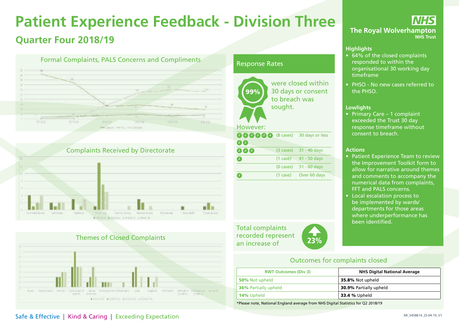# **Patient Experience Feedback - Division Three Quarter Four 2018/19**







### Response Rates



Total complaints recorded represent recorded represent<br>an increase of 23%



IHS **The Royal Wolverhampton NHS Trust** 

### **Highlights**

- 64% of the closed complaints responded to within the organisational 30 working day timeframe
- PHSO No new cases referred to the PHSO.

#### **Lowlights**

• Primary Care – 1 complaint exceeded the Trust 30 day response timeframe without consent to breach.

#### **Actions**

- Patient Experience Team to review the Improvement Toolkit form to allow for narrative around themes and comments to accompany the numerical data from complaints, FFT and PALS concerns.
- Local escalation process to be implemented by wards/ departments for those areas where underperformance has been identified.

### Outcomes for complaints closed

| <b>RWT Outcomes (Div 3)</b> | <b>NHS Digital National Average</b> |
|-----------------------------|-------------------------------------|
| 50% Not upheld              | 35.8% Not upheld                    |
| <b>36%</b> Partially upheld | <b>30.9% Partially upheld</b>       |
| <b>14%</b> Upheld           | <b>33.4 %</b> Upheld                |

\*Please note, National England average from NHS Digital Statistics for Q2 2018/19

### Safe & Effective | Kind & Caring | Exceeding Expectation **Safe & Effective | Kind & Caring | Exceeding Expectation**